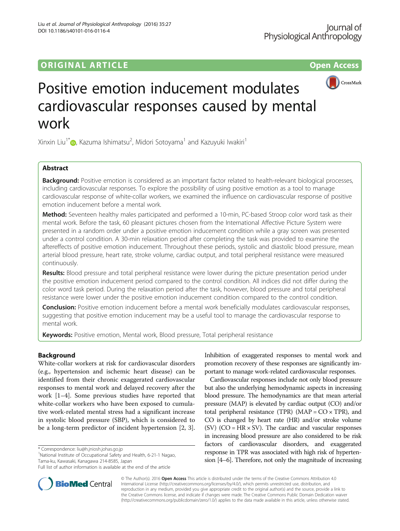# **ORIGINAL ARTICLE CONSERVATION CONSERVATION**



# Positive emotion inducement modulates cardiovascular responses caused by mental work

Xinxin Liu<sup>1[\\*](http://orcid.org/0000-0001-5202-3667)</sup>�, Kazuma Ishimatsu<sup>2</sup>, Midori Sotoyama<sup>1</sup> and Kazuyuki Iwakiri<sup>1</sup>

# Abstract

**Background:** Positive emotion is considered as an important factor related to health-relevant biological processes, including cardiovascular responses. To explore the possibility of using positive emotion as a tool to manage cardiovascular response of white-collar workers, we examined the influence on cardiovascular response of positive emotion inducement before a mental work.

Method: Seventeen healthy males participated and performed a 10-min, PC-based Stroop color word task as their mental work. Before the task, 60 pleasant pictures chosen from the International Affective Picture System were presented in a random order under a positive emotion inducement condition while a gray screen was presented under a control condition. A 30-min relaxation period after completing the task was provided to examine the aftereffects of positive emotion inducement. Throughout these periods, systolic and diastolic blood pressure, mean arterial blood pressure, heart rate, stroke volume, cardiac output, and total peripheral resistance were measured continuously.

Results: Blood pressure and total peripheral resistance were lower during the picture presentation period under the positive emotion inducement period compared to the control condition. All indices did not differ during the color word task period. During the relaxation period after the task, however, blood pressure and total peripheral resistance were lower under the positive emotion inducement condition compared to the control condition.

**Conclusion:** Positive emotion inducement before a mental work beneficially modulates cardiovascular responses, suggesting that positive emotion inducement may be a useful tool to manage the cardiovascular response to mental work.

Keywords: Positive emotion, Mental work, Blood pressure, Total peripheral resistance

# Background

White-collar workers at risk for cardiovascular disorders (e.g., hypertension and ischemic heart disease) can be identified from their chronic exaggerated cardiovascular responses to mental work and delayed recovery after the work [\[1](#page-6-0)–[4\]](#page-6-0). Some previous studies have reported that white-collar workers who have been exposed to cumulative work-related mental stress had a significant increase in systolic blood pressure (SBP), which is considered to be a long-term predictor of incident hypertension [[2, 3](#page-6-0)].

\* Correspondence: [liu@h.jniosh.johas.go.jp](mailto:liu@h.jniosh.johas.go.jp) <sup>1</sup>

<sup>1</sup>National Institute of Occupational Safety and Health, 6-21-1 Nagao, Tama-ku, Kawasaki, Kanagawa 214-8585, Japan



Cardiovascular responses include not only blood pressure but also the underlying hemodynamic aspects in increasing blood pressure. The hemodynamics are that mean arterial pressure (MAP) is elevated by cardiac output (CO) and/or total peripheral resistance (TPR) ( $MAP = CO \times TPR$ ), and CO is changed by heart rate (HR) and/or stroke volume (SV)  $(CO = HR \times SV)$ . The cardiac and vascular responses in increasing blood pressure are also considered to be risk factors of cardiovascular disorders, and exaggerated response in TPR was associated with high risk of hypertension [[4](#page-6-0)–[6\]](#page-6-0). Therefore, not only the magnitude of increasing



© The Author(s). 2016 Open Access This article is distributed under the terms of the Creative Commons Attribution 4.0 International License [\(http://creativecommons.org/licenses/by/4.0/](http://creativecommons.org/licenses/by/4.0/)), which permits unrestricted use, distribution, and reproduction in any medium, provided you give appropriate credit to the original author(s) and the source, provide a link to the Creative Commons license, and indicate if changes were made. The Creative Commons Public Domain Dedication waiver [\(http://creativecommons.org/publicdomain/zero/1.0/](http://creativecommons.org/publicdomain/zero/1.0/)) applies to the data made available in this article, unless otherwise stated.

Full list of author information is available at the end of the article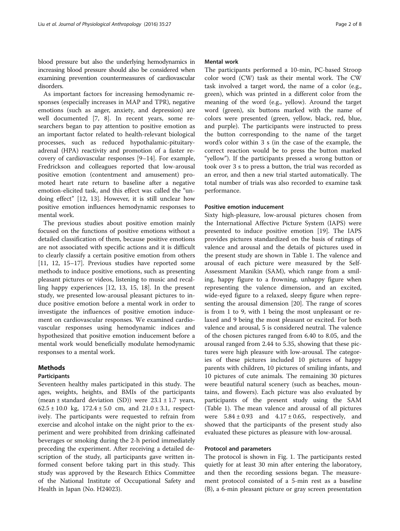blood pressure but also the underlying hemodynamics in increasing blood pressure should also be considered when examining prevention countermeasures of cardiovascular disorders.

As important factors for increasing hemodynamic responses (especially increases in MAP and TPR), negative emotions (such as anger, anxiety, and depression) are well documented [[7, 8\]](#page-6-0). In recent years, some researchers began to pay attention to positive emotion as an important factor related to health-relevant biological processes, such as reduced hypothalamic-pituitaryadrenal (HPA) reactivity and promotion of a faster recovery of cardiovascular responses [\[9](#page-6-0)–[14\]](#page-7-0). For example, Fredrickson and colleagues reported that low-arousal positive emotion (contentment and amusement) promoted heart rate return to baseline after a negative emotion-elicited task, and this effect was called the "undoing effect" [\[12,](#page-6-0) [13\]](#page-7-0). However, it is still unclear how positive emotion influences hemodynamic responses to mental work.

The previous studies about positive emotion mainly focused on the functions of positive emotions without a detailed classification of them, because positive emotions are not associated with specific actions and it is difficult to clearly classify a certain positive emotion from others [[11, 12](#page-6-0), [15](#page-7-0)–[17](#page-7-0)]. Previous studies have reported some methods to induce positive emotions, such as presenting pleasant pictures or videos, listening to music and recalling happy experiences [[12](#page-6-0), [13, 15](#page-7-0), [18\]](#page-7-0). In the present study, we presented low-arousal pleasant pictures to induce positive emotion before a mental work in order to investigate the influences of positive emotion inducement on cardiovascular responses. We examined cardiovascular responses using hemodynamic indices and hypothesized that positive emotion inducement before a mental work would beneficially modulate hemodynamic responses to a mental work.

# Methods

# Participants

Seventeen healthy males participated in this study. The ages, weights, heights, and BMIs of the participants (mean  $\pm$  standard deviation (SD)) were 23.1  $\pm$  1.7 years,  $62.5 \pm 10.0$  kg,  $172.4 \pm 5.0$  cm, and  $21.0 \pm 3.1$ , respectively. The participants were requested to refrain from exercise and alcohol intake on the night prior to the experiment and were prohibited from drinking caffeinated beverages or smoking during the 2-h period immediately preceding the experiment. After receiving a detailed description of the study, all participants gave written informed consent before taking part in this study. This study was approved by the Research Ethics Committee of the National Institute of Occupational Safety and Health in Japan (No. H24023).

#### Mental work

The participants performed a 10-min, PC-based Stroop color word (CW) task as their mental work. The CW task involved a target word, the name of a color (e.g., green), which was printed in a different color from the meaning of the word (e.g., yellow). Around the target word (green), six buttons marked with the name of colors were presented (green, yellow, black, red, blue, and purple). The participants were instructed to press the button corresponding to the name of the target word's color within 3 s (in the case of the example, the correct reaction would be to press the button marked "yellow"). If the participants pressed a wrong button or took over 3 s to press a button, the trial was recorded as an error, and then a new trial started automatically. The total number of trials was also recorded to examine task performance.

### Positive emotion inducement

Sixty high-pleasure, low-arousal pictures chosen from the International Affective Picture System (IAPS) were presented to induce positive emotion [[19](#page-7-0)]. The IAPS provides pictures standardized on the basis of ratings of valence and arousal and the details of pictures used in the present study are shown in Table [1.](#page-2-0) The valence and arousal of each picture were measured by the Self-Assessment Manikin (SAM), which range from a smiling, happy figure to a frowning, unhappy figure when representing the valence dimension, and an excited, wide-eyed figure to a relaxed, sleepy figure when representing the arousal dimension [[20\]](#page-7-0). The range of scores is from 1 to 9, with 1 being the most unpleasant or relaxed and 9 being the most pleasant or excited. For both valence and arousal, 5 is considered neutral. The valence of the chosen pictures ranged from 6.40 to 8.05, and the arousal ranged from 2.44 to 5.35, showing that these pictures were high pleasure with low-arousal. The categories of these pictures included 10 pictures of happy parents with children, 10 pictures of smiling infants, and 10 pictures of cute animals. The remaining 30 pictures were beautiful natural scenery (such as beaches, mountains, and flowers). Each picture was also evaluated by participants of the present study using the SAM (Table [1\)](#page-2-0). The mean valence and arousal of all pictures were  $5.84 \pm 0.93$  and  $4.17 \pm 0.65$ , respectively, and showed that the participants of the present study also evaluated these pictures as pleasure with low-arousal.

# Protocol and parameters

The protocol is shown in Fig. [1.](#page-3-0) The participants rested quietly for at least 30 min after entering the laboratory, and then the recording sessions began. The measurement protocol consisted of a 5-min rest as a baseline (B), a 6-min pleasant picture or gray screen presentation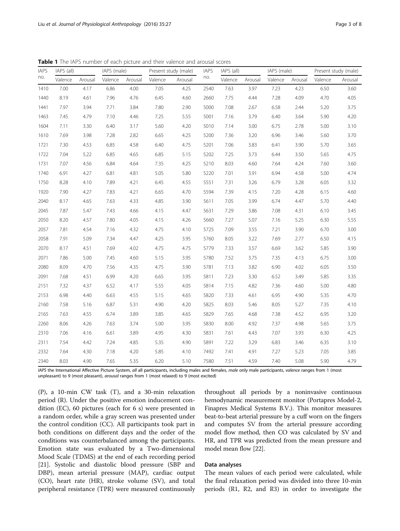| IAPS<br>no. | IAPS (all) |         | IAPS (male) |         | Present study (male) |         | <b>IAPS</b> | IAPS (all) |         | IAPS (male) |         | Present study (male) |         |
|-------------|------------|---------|-------------|---------|----------------------|---------|-------------|------------|---------|-------------|---------|----------------------|---------|
|             | Valence    | Arousal | Valence     | Arousal | Valence              | Arousal | no.         | Valence    | Arousal | Valence     | Arousal | Valence              | Arousal |
| 1410        | 7.00       | 4.17    | 6.86        | 4.00    | 7.05                 | 4.25    | 2540        | 7.63       | 3.97    | 7.23        | 4.23    | 6.50                 | 3.60    |
| 1440        | 8.19       | 4.61    | 7.96        | 4.76    | 6.45                 | 4.60    | 2660        | 7.75       | 4.44    | 7.28        | 4.09    | 4.70                 | 4.05    |
| 1441        | 7.97       | 3.94    | 7.71        | 3.84    | 7.80                 | 2.90    | 5000        | 7.08       | 2.67    | 6.58        | 2.44    | 5.20                 | 3.75    |
| 1463        | 7.45       | 4.79    | 7.10        | 4.46    | 7.25                 | 5.55    | 5001        | 7.16       | 3.79    | 6.40        | 3.64    | 5.90                 | 4.20    |
| 1604        | 7.11       | 3.30    | 6.40        | 3.17    | 5.60                 | 4.20    | 5010        | 7.14       | 3.00    | 6.75        | 2.78    | 5.00                 | 3.10    |
| 1610        | 7.69       | 3.98    | 7.28        | 2.82    | 6.65                 | 4.25    | 5200        | 7.36       | 3.20    | 6.96        | 3.46    | 5.60                 | 3.70    |
| 1721        | 7.30       | 4.53    | 6.85        | 4.58    | 6.40                 | 4.75    | 5201        | 7.06       | 3.83    | 6.41        | 3.90    | 5.70                 | 3.65    |
| 1722        | 7.04       | 5.22    | 6.85        | 4.65    | 6.85                 | 5.15    | 5202        | 7.25       | 3.73    | 6.44        | 3.50    | 5.65                 | 4.75    |
| 1731        | 7.07       | 4.56    | 6.84        | 4.64    | 7.35                 | 4.25    | 5210        | 8.03       | 4.60    | 7.64        | 4.24    | 7.60                 | 3.60    |
| 1740        | 6.91       | 4.27    | 6.81        | 4.81    | 5.05                 | 5.80    | 5220        | 7.01       | 3.91    | 6.94        | 4.58    | 5.00                 | 4.74    |
| 1750        | 8.28       | 4.10    | 7.89        | 4.21    | 6.45                 | 4.55    | 5551        | 7.31       | 3.26    | 6.79        | 3.28    | 6.05                 | 3.32    |
| 1920        | 7.90       | 4.27    | 7.83        | 4.21    | 6.65                 | 4.70    | 5594        | 7.39       | 4.15    | 7.20        | 4.28    | 6.15                 | 4.60    |
| 2040        | 8.17       | 4.65    | 7.63        | 4.33    | 4.85                 | 3.90    | 5611        | 7.05       | 3.99    | 6.74        | 4.47    | 5.70                 | 4.40    |
| 2045        | 7.87       | 5.47    | 7.43        | 4.66    | 4.15                 | 4.47    | 5631        | 7.29       | 3.86    | 7.08        | 4.31    | 6.10                 | 3.45    |
| 2050        | 8.20       | 4.57    | 7.80        | 4.05    | 4.15                 | 4.26    | 5660        | 7.27       | 5.07    | 7.16        | 5.25    | 6.30                 | 5.55    |
| 2057        | 7.81       | 4.54    | 7.16        | 4.32    | 4.75                 | 4.10    | 5725        | 7.09       | 3.55    | 7.21        | 3.90    | 6.70                 | 3.00    |
| 2058        | 7.91       | 5.09    | 7.34        | 4.47    | 4.25                 | 3.95    | 5760        | 8.05       | 3.22    | 7.69        | 2.77    | 6.50                 | 4.15    |
| 2070        | 8.17       | 4.51    | 7.69        | 4.02    | 4.75                 | 4.75    | 5779        | 7.33       | 3.57    | 6.69        | 3.62    | 5.85                 | 3.90    |
| 2071        | 7.86       | 5.00    | 7.45        | 4.60    | 5.15                 | 3.95    | 5780        | 7.52       | 3.75    | 7.35        | 4.13    | 6.75                 | 3.00    |
| 2080        | 8.09       | 4.70    | 7.56        | 4.35    | 4.75                 | 3.90    | 5781        | 7.13       | 3.82    | 6.90        | 4.02    | 6.05                 | 3.50    |
| 2091        | 7.68       | 4.51    | 6.99        | 4.20    | 6.65                 | 3.95    | 5811        | 7.23       | 3.30    | 6.52        | 3.49    | 5.85                 | 3.35    |
| 2151        | 7.32       | 4.37    | 6.52        | 4.17    | 5.55                 | 4.05    | 5814        | 7.15       | 4.82    | 7.36        | 4.60    | 5.00                 | 4.80    |
| 2153        | 6.98       | 4.40    | 6.63        | 4.55    | 5.15                 | 4.65    | 5820        | 7.33       | 4.61    | 6.95        | 4.90    | 5.35                 | 4.70    |
| 2160        | 7.58       | 5.16    | 6.87        | 5.31    | 4.90                 | 4.20    | 5825        | 8.03       | 5.46    | 8.05        | 5.27    | 7.35                 | 4.10    |
| 2165        | 7.63       | 4.55    | 6.74        | 3.89    | 3.85                 | 4.65    | 5829        | 7.65       | 4.68    | 7.38        | 4.52    | 6.95                 | 3.20    |
| 2260        | 8.06       | 4.26    | 7.63        | 3.74    | 5.00                 | 3.95    | 5830        | 8.00       | 4.92    | 7.37        | 4.98    | 5.65                 | 3.75    |
| 2310        | 7.06       | 4.16    | 6.61        | 3.89    | 4.95                 | 4.30    | 5831        | 7.61       | 4.43    | 7.07        | 3.93    | 6.30                 | 4.25    |
| 2311        | 7.54       | 4.42    | 7.24        | 4.85    | 5.35                 | 4.90    | 5891        | 7.22       | 3.29    | 6.83        | 3.46    | 6.35                 | 3.10    |
| 2332        | 7.64       | 4.30    | 7.18        | 4.20    | 5.85                 | 4.10    | 7492        | 7.41       | 4.91    | 7.27        | 5.23    | 7.05                 | 3.85    |

<span id="page-2-0"></span>Table 1 The IAPS number of each picture and their valence and arousal scores

IAPS the International Affective Picture System, all all participants, including males and females, male only male participants, valence ranges from 1 (most unpleasant) to 9 (most pleasant), arousal ranges from 1 (most relaxed) to 9 (most excited)

2340 8.03 4.90 7.65 5.35 6.20 5.10 7580 7.51 4.59 7.40 5.08 5.90 4.79

(P), a 10-min CW task (T), and a 30-min relaxation period (R). Under the positive emotion inducement condition (EC), 60 pictures (each for 6 s) were presented in a random order, while a gray screen was presented under the control condition (CC). All participants took part in both conditions on different days and the order of the conditions was counterbalanced among the participants. Emotion state was evaluated by a Two-dimensional Mood Scale (TDMS) at the end of each recording period [[21\]](#page-7-0). Systolic and diastolic blood pressure (SBP and DBP), mean arterial pressure (MAP), cardiac output (CO), heart rate (HR), stroke volume (SV), and total peripheral resistance (TPR) were measured continuously

throughout all periods by a noninvasive continuous hemodynamic measurement monitor (Portapres Model-2, Finapres Medical Systems B.V.). This monitor measures beat-to-beat arterial pressure by a cuff worn on the fingers and computes SV from the arterial pressure according model flow method, then CO was calculated by SV and HR, and TPR was predicted from the mean pressure and model mean flow [[22](#page-7-0)].

# Data analyses

The mean values of each period were calculated, while the final relaxation period was divided into three 10-min periods (R1, R2, and R3) in order to investigate the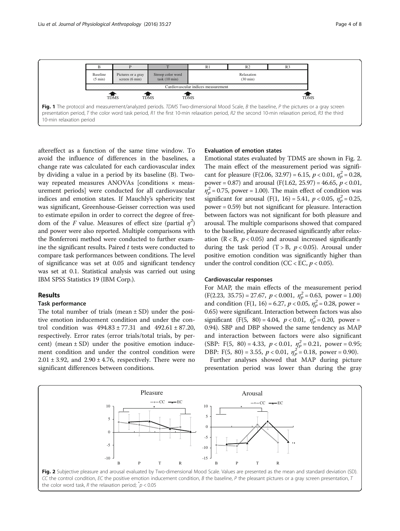<span id="page-3-0"></span>

aftereffect as a function of the same time window. To avoid the influence of differences in the baselines, a change rate was calculated for each cardiovascular index by dividing a value in a period by its baseline (B). Twoway repeated measures ANOVAs [conditions × measurement periods] were conducted for all cardiovascular indices and emotion states. If Mauchly's sphericity test was significant, Greenhouse-Geisser correction was used to estimate epsilon in order to correct the degree of freedom of the F value. Measures of effect size (partial  $\eta^2$ ) and power were also reported. Multiple comparisons with the Bonferroni method were conducted to further examine the significant results. Paired  $t$  tests were conducted to compare task performances between conditions. The level of significance was set at 0.05 and significant tendency was set at 0.1. Statistical analysis was carried out using IBM SPSS Statistics 19 (IBM Corp.).

#### Results

## Task performance

The total number of trials (mean  $\pm$  SD) under the positive emotion inducement condition and under the control condition was  $494.83 \pm 77.31$  and  $492.61 \pm 87.20$ , respectively. Error rates (error trials/total trials, by percent) (mean  $\pm$  SD) under the positive emotion inducement condition and under the control condition were  $2.01 \pm 3.92$ , and  $2.90 \pm 4.76$ , respectively. There were no significant differences between conditions.

# Evaluation of emotion states

Emotional states evaluated by TDMS are shown in Fig. 2. The main effect of the measurement period was significant for pleasure (F(2.06, 32.97) = 6.15,  $p < 0.01$ ,  $\eta_p^2 = 0.28$ , power = 0.87) and arousal (F(1.62, 25.97) = 46.65,  $p < 0.01$ ,  $\eta_p^2$  = 0.75, power = 1.00). The main effect of condition was significant for arousal (F(1, 16) = 5.41,  $p < 0.05$ ,  $\eta_p^2 = 0.25$ , power = 0.59) but not significant for pleasure. Interaction between factors was not significant for both pleasure and arousal. The multiple comparisons showed that compared to the baseline, pleasure decreased significantly after relaxation ( $R < B$ ,  $p < 0.05$ ) and arousal increased significantly during the task period  $(T > B, p < 0.05)$ . Arousal under positive emotion condition was significantly higher than under the control condition (CC < EC,  $p < 0.05$ ).

#### Cardiovascular responses

For MAP, the main effects of the measurement period  $(F(2.23, 35.75) = 27.67, p < 0.001, \eta_p^2 = 0.63, power = 1.00)$ and condition (F(1, 16) = 6.27,  $p < 0.05$ ,  $\eta_p^2 = 0.28$ , power = 0.65) were significant. Interaction between factors was also significant (F(5, 80) = 4.04,  $p < 0.01$ ,  $\eta_p^2 = 0.20$ , power = 0.94). SBP and DBP showed the same tendency as MAP and interaction between factors were also significant (SBP: F(5, 80) = 4.33,  $p < 0.01$ ,  $\eta_p^2 = 0.21$ , power = 0.95; DBP: F(5, 80) = 3.55,  $p < 0.01$ ,  $\eta_p^2 = 0.18$ , power = 0.90).

Further analyses showed that MAP during picture presentation period was lower than during the gray

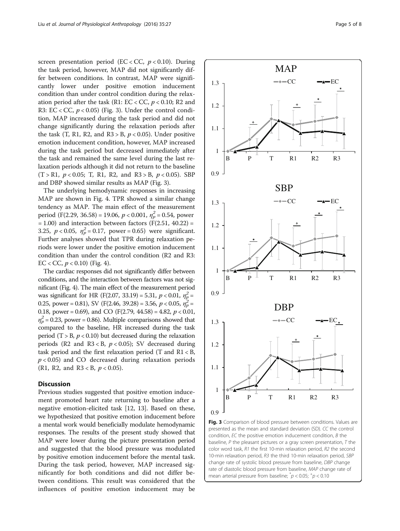screen presentation period (EC < CC,  $p < 0.10$ ). During the task period, however, MAP did not significantly differ between conditions. In contrast, MAP were significantly lower under positive emotion inducement condition than under control condition during the relaxation period after the task (R1: EC < CC,  $p$  < 0.10; R2 and R3: EC < CC,  $p$  < 0.05) (Fig. 3). Under the control condition, MAP increased during the task period and did not change significantly during the relaxation periods after the task (T, R1, R2, and R3 > B,  $p < 0.05$ ). Under positive emotion inducement condition, however, MAP increased during the task period but decreased immediately after the task and remained the same level during the last relaxation periods although it did not return to the baseline  $(T > R1, p < 0.05; T, R1, R2, and R3 > B, p < 0.05)$ . SBP and DBP showed similar results as MAP (Fig. 3).

The underlying hemodynamic responses in increasing MAP are shown in Fig. [4.](#page-5-0) TPR showed a similar change tendency as MAP. The main effect of the measurement period (F(2.29, 36.58) = 19.06,  $p < 0.001$ ,  $\eta_p^2 = 0.54$ , power  $= 1.00$ ) and interaction between factors (F(2.51, 40.22) = 3.25,  $p < 0.05$ ,  $\eta_p^2 = 0.17$ , power = 0.65) were significant. Further analyses showed that TPR during relaxation periods were lower under the positive emotion inducement condition than under the control condition (R2 and R3:  $EC < CC$ ,  $p < 0.10$ ) (Fig. [4](#page-5-0)).

The cardiac responses did not significantly differ between conditions, and the interaction between factors was not significant (Fig. [4\)](#page-5-0). The main effect of the measurement period was significant for HR (F(2.07, 33.19) = 5.31,  $p < 0.01$ ,  $\eta_p^2$  = 0.25, power = 0.81), SV (F(2.46, 39.28) = 3.56,  $p < 0.05$ ,  $\eta_p^2$  = 0.18, power = 0.69), and CO (F(2.79, 44.58) = 4.82,  $p < 0.01$ ,  $\eta_p^2$  = 0.23, power = 0.86). Multiple comparisons showed that compared to the baseline, HR increased during the task period (T > B,  $p < 0.10$ ) but decreased during the relaxation periods (R2 and R3 < B,  $p < 0.05$ ); SV decreased during task period and the first relaxation period (T and  $R1 < B$ ,  $p < 0.05$ ) and CO decreased during relaxation periods (R1, R2, and R3 < B,  $p < 0.05$ ).

## **Discussion**

Previous studies suggested that positive emotion inducement promoted heart rate returning to baseline after a negative emotion-elicited task [\[12,](#page-6-0) [13](#page-7-0)]. Based on these, we hypothesized that positive emotion inducement before a mental work would beneficially modulate hemodynamic responses. The results of the present study showed that MAP were lower during the picture presentation period and suggested that the blood pressure was modulated by positive emotion inducement before the mental task. During the task period, however, MAP increased significantly for both conditions and did not differ between conditions. This result was considered that the influences of positive emotion inducement may be



Fig. 3 Comparison of blood pressure between conditions. Values are presented as the mean and standard deviation (SD). CC the control condition, EC the positive emotion inducement condition, B the baseline,  $P$  the pleasant pictures or a gray screen presentation,  $T$  the color word task, R1 the first 10-min relaxation period, R2 the second 10-min relaxation period, R3 the third 10-min relaxation period, SBP change rate of systolic blood pressure from baseline, DBP change rate of diastolic blood pressure from baseline, MAP change rate of mean arterial pressure from baseline;  $\bar{p}$  < 0.05;  $+p$  < 0.10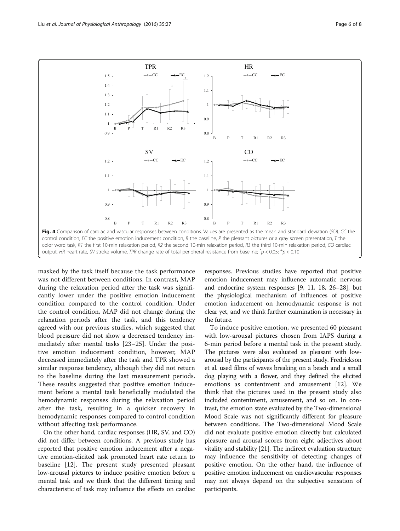<span id="page-5-0"></span>

masked by the task itself because the task performance was not different between conditions. In contrast, MAP during the relaxation period after the task was significantly lower under the positive emotion inducement condition compared to the control condition. Under the control condition, MAP did not change during the relaxation periods after the task, and this tendency agreed with our previous studies, which suggested that blood pressure did not show a decreased tendency immediately after mental tasks [[23](#page-7-0)–[25\]](#page-7-0). Under the positive emotion inducement condition, however, MAP decreased immediately after the task and TPR showed a similar response tendency, although they did not return to the baseline during the last measurement periods. These results suggested that positive emotion inducement before a mental task beneficially modulated the hemodynamic responses during the relaxation period after the task, resulting in a quicker recovery in hemodynamic responses compared to control condition without affecting task performance.

On the other hand, cardiac responses (HR, SV, and CO) did not differ between conditions. A previous study has reported that positive emotion inducement after a negative emotion-elicited task promoted heart rate return to baseline [[12\]](#page-6-0). The present study presented pleasant low-arousal pictures to induce positive emotion before a mental task and we think that the different timing and characteristic of task may influence the effects on cardiac responses. Previous studies have reported that positive emotion inducement may influence automatic nervous and endocrine system responses [\[9](#page-6-0), [11,](#page-6-0) [18, 26](#page-7-0)–[28](#page-7-0)], but the physiological mechanism of influences of positive emotion inducement on hemodynamic response is not clear yet, and we think further examination is necessary in the future.

To induce positive emotion, we presented 60 pleasant with low-arousal pictures chosen from IAPS during a 6-min period before a mental task in the present study. The pictures were also evaluated as pleasant with lowarousal by the participants of the present study. Fredrickson et al. used films of waves breaking on a beach and a small dog playing with a flower, and they defined the elicited emotions as contentment and amusement [\[12](#page-6-0)]. We think that the pictures used in the present study also included contentment, amusement, and so on. In contrast, the emotion state evaluated by the Two-dimensional Mood Scale was not significantly different for pleasure between conditions. The Two-dimensional Mood Scale did not evaluate positive emotion directly but calculated pleasure and arousal scores from eight adjectives about vitality and stability [[21](#page-7-0)]. The indirect evaluation structure may influence the sensitivity of detecting changes of positive emotion. On the other hand, the influence of positive emotion inducement on cardiovascular responses may not always depend on the subjective sensation of participants.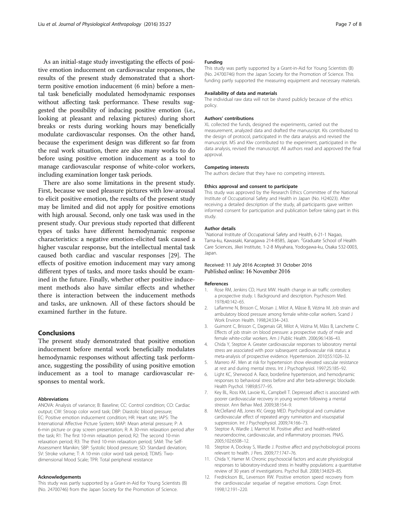<span id="page-6-0"></span>As an initial-stage study investigating the effects of positive emotion inducement on cardiovascular responses, the results of the present study demonstrated that a shortterm positive emotion inducement (6 min) before a mental task beneficially modulated hemodynamic responses without affecting task performance. These results suggested the possibility of inducing positive emotion (i.e., looking at pleasant and relaxing pictures) during short breaks or rests during working hours may beneficially modulate cardiovascular responses. On the other hand, because the experiment design was different so far from the real work situation, there are also many works to do before using positive emotion inducement as a tool to manage cardiovascular response of white-color workers, including examination longer task periods.

There are also some limitations in the present study. First, because we used pleasure pictures with low-arousal to elicit positive emotion, the results of the present study may be limited and did not apply for positive emotions with high arousal. Second, only one task was used in the present study. Our previous study reported that different types of tasks have different hemodynamic response characteristics: a negative emotion-elicited task caused a higher vascular response, but the intellectual mental task caused both cardiac and vascular responses [\[29\]](#page-7-0). The effects of positive emotion inducement may vary among different types of tasks, and more tasks should be examined in the future. Finally, whether other positive inducement methods also have similar effects and whether there is interaction between the inducement methods and tasks, are unknown. All of these factors should be examined further in the future.

# Conclusions

The present study demonstrated that positive emotion inducement before mental work beneficially modulates hemodynamic responses without affecting task performance, suggesting the possibility of using positive emotion inducement as a tool to manage cardiovascular responses to mental work.

#### Abbreviations

ANOVA: Analysis of variance; B: Baseline; CC: Control condition; CO: Cardiac output; CW: Stroop color word task; DBP: Diastolic blood pressure; EC: Positive emotion inducement condition; HR: Heart rate; IAPS: The International Affective Picture System; MAP: Mean arterial pressure; P: A 6-min picture or gray screen presentation; R: A 30-min relaxation period after the task; R1: The first 10-min relaxation period; R2: The second 10-min relaxation period; R3: The third 10-min relaxation period; SAM: The Self-Assessment Manikin; SBP: Systolic blood pressure; SD: Standard deviation; SV: Stroke volume; T: A 10-min color word task period; TDMS: Twodimensional Mood Scale; TPR: Total peripheral resistance

#### Acknowledgements

This study was partly supported by a Grant-in-Aid for Young Scientists (B) (No. 24700746) from the Japan Society for the Promotion of Science.

### Funding

This study was partly supported by a Grant-in-Aid for Young Scientists (B) (No. 24700746) from the Japan Society for the Promotion of Science. This funding partly supported the measuring equipment and necessary materials.

#### Availability of data and materials

The individual raw data will not be shared publicly because of the ethics policy.

#### Authors' contributions

XL collected the funds, designed the experiments, carried out the measurement, analyzed data and drafted the manuscript. KIs contributed to the design of protocol, participated in the data analysis and revised the manuscript. MS and KIw contributed to the experiment, participated in the data analysis, revised the manuscript. All authors read and approved the final approval.

#### Competing interests

The authors declare that they have no competing interests.

#### Ethics approval and consent to participate

This study was approved by the Research Ethics Committee of the National Institute of Occupational Safety and Health in Japan (No. H24023). After receiving a detailed description of the study, all participants gave written informed consent for participation and publication before taking part in this study.

#### Author details

<sup>1</sup>National Institute of Occupational Safety and Health, 6-21-1 Nagao Tama-ku, Kawasaki, Kanagawa 214-8585, Japan. <sup>2</sup>Graduate School of Health Care Sciences, Jikei Institute, 1-2-8 Miyahara, Yodogawa-ku, Osaka 532-0003, Japan.

#### Received: 11 July 2016 Accepted: 31 October 2016 Published online: 16 November 2016

#### References

- Rose RM, Jenkins CD, Hurst MW. Health change in air traffic controllers: a prospective study. I. Background and description. Psychosom Med. 1978;40:142–65.
- 2. Laflamme N, Brisson C, Moisan J, Milot A, Mâsse B, Vézina M. Job strain and ambulatory blood pressure among female white-collar workers. Scand J Work Environ Health. 1998;24:334–243.
- 3. Guimont C, Brisson C, Dagenais GR, Milot A, Vézina M, Mâss B, Lanchette C. Effects of job strain on blood pressure: a prospective study of male and female white-collar workers. Am J Public Health. 2006;96:1436–43.
- 4. Chida Y, Steptoe A. Greater cardiovascular responses to laboratory mental stress are associated with poor subsequent cardiovascular risk status: a meta-analysis of prospective evidence. Hypertension. 2010;55:1026–32.
- 5. Marrero AF. Men at risk for hypertension show elevated vascular resistance at rest and during mental stress. Int J Psychophysiol. 1997;25:185–92.
- 6. Light KC, Sherwood A. Race, borderline hypertension, and hemodynamic responses to behavioral stress before and after beta-adrenergic blockade. Health Psychol. 1989;8:577–95.
- 7. Key BL, Ross KM, Lavoie KL, Campbell T. Depressed affect is associated with poorer cardiovascular recovery in young women following a mental stressor. Ann Behav Med. 2009;38:154–9.
- 8. McClelland AB, Jones KV, Gregg MED. Psychological and cumulative cardiovascular effect of repeated angry rumination and visuospatial suppression. Int J Psychophysiol. 2009;74:166–73.
- 9. Steptoe A, Wardle J, Marmot M. Positive affect and health-related neuroendocrine, cardiovascular, and inflammatory processes. PNAS. 2005;102:6508–12.
- 10. Steptoe A, Dockray S, Wardle J. Positive affect and psychobiological process relevant to health. J Pers. 2009;77:1747–76.
- 11. Chida Y, Hamer M. Chronic psychosocial factors and acute physiological responses to laboratory-induced stress in healthy populations: a quantitative review of 30 years of investigations. Psychol Bull. 2008;134:829–85.
- 12. Fredrickson BL, Levenson RW. Positive emotion speed recovery from the cardiovascular sequelae of negative emotions. Cogn Emot. 1998;12:191–220.